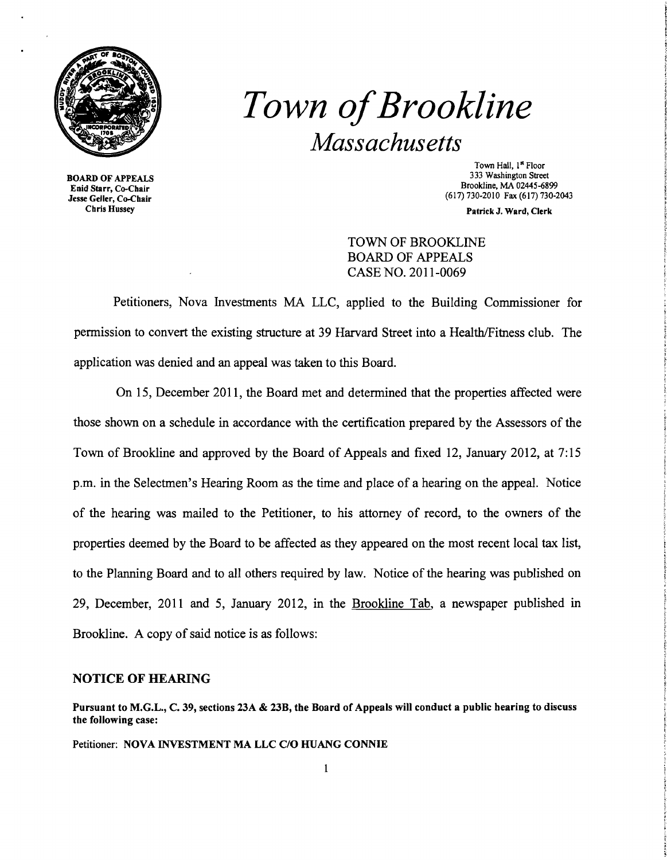

# *Town ofBrookline Massachusetts*

BOARD OF APPEALS Enid Starr, Co-Chair Jesse Geller, Co-Chair Chris Hussey

Town Hall, 1st Floor 333 Washington Street Brookline, MA 02445-6899 (617) 730-2010 Fax (617)730-2043

Patrick J. Ward, Clerk

TOWN OF BROOKLINE BOARD OF APPEALS CASE NO. 2011-0069

Petitioners, Nova Investments MA LLC, applied to the Building Commissioner for pennission to convert the existing structure at 39 Harvard Street into a Health/Fitness club. The application was denied and an appeal was taken to this Board.

On 15, December 2011, the Board met and detennined that the properties affected were those shown on a schedule in accordance with the certification prepared by the Assessors of the Town of Brookline and approved by the Board of Appeals and fixed 12, January 2012, at 7:15 p.m. in the Selectmen's Hearing Room as the time and place of a hearing on the appeal. Notice of the hearing was mailed to the Petitioner, to his attorney of record, to the owners of the properties deemed by the Board to be affected as they appeared on the most recent local tax list, to the Planning Board and to all others required by law. Notice of the hearing was published on 29, December, 2011 and 5, January 2012, in the Brookline Tab, a newspaper published in Brookline. A copy of said notice is as follows:

## NOTICE OF HEARING

Pursuant to M.G.L., C. 39, sections 23A & 23B, the Board of Appeals will conduct a public hearing to discuss the following case:

Petitioner: NOVA INVESTMENT MA LLC C/O HUANG CONNIE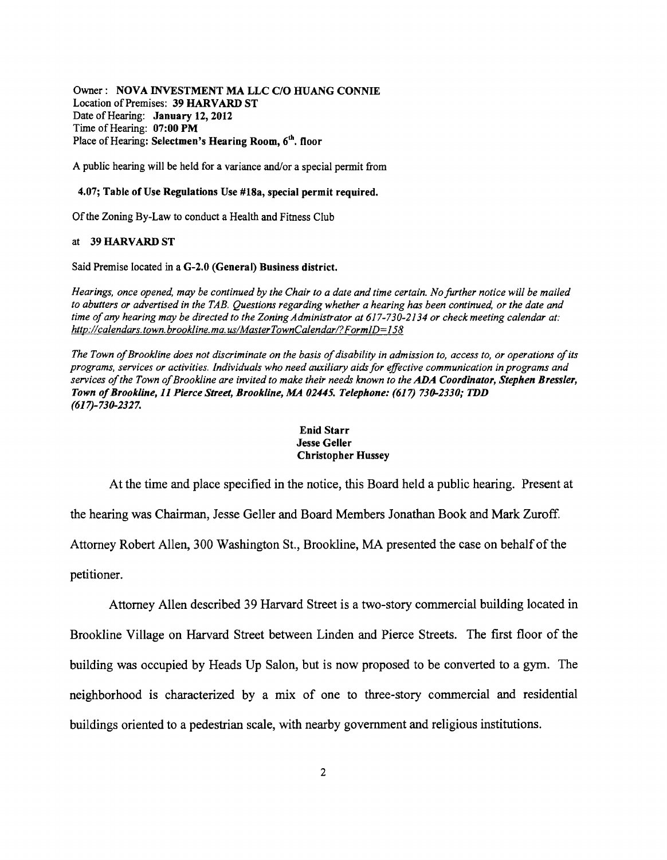Owner : NOVA INVESTMENT MA LLC C/O HUANG CONNIE Location of Premises: 39 HARVARD ST Date of Hearing: January 12, 2012 Time of Hearing: 07:00 PM Place of Hearing: Selectmen's Hearing Room, 6<sup>th</sup>, floor

A public hearing will be held for a variance and/or a special permit from

#### 4.07; Table of Use Regulations Use #18a, special permit required.

Of the Zoning By-Law to conduct a Health and Fitness Club

### at 39 HARVARD ST

Said Premise located in a G-2.0 (General) Business district.

*Hearings, once opened, may be continued by the Chair to a date and time certain. No further notice will be mailed to abutters or advertised in the TAB. Questions regarding whether a hearing has been continued, or the date and*  time of any hearing may be directed to the Zoning Administrator at 617-730-2134 or check meeting calendar at: *http://calendars.town.brookline.ma.usIMasterTownCalendarl?FormlD=158* 

The Town of Brookline does not discriminate on the basis of disability in admission to, access to, or operations of its *programs, services or activities. Individuals who need auxiliary aids for effective communication in programs and services ofthe Town ofBrookline are invited to make their needs known to the* ADA *Coordinator, Stephen Bressler, Town ofBrookline,* 11 *Pierce Street, Brookline, MA 02445. Telephone:* (617) *730-2330,. TDD (617)-730-2327.* 

#### Enid Starr Jesse Geller Christopher Hussey

At the time and place specified in the notice, this Board held a public hearing. Present at

the hearing was Chairman, Jesse Geller and Board Members Jonathan Book and Mark Zuroff.

Attorney Robert Allen, 300 Washington St., Brookline, MA presented the case on behalf of the

petitioner.

Attorney Allen described 39 Harvard Street is a two-story commercial building located in Brookline Village on Harvard Street between Linden and Pierce Streets. The first floor of the building was occupied by Heads Up Salon, but is now proposed to be converted to a gym. The neighborhood is characterized by a mix of one to three-story commercial and residential buildings oriented to a pedestrian scale, with nearby government and religious institutions.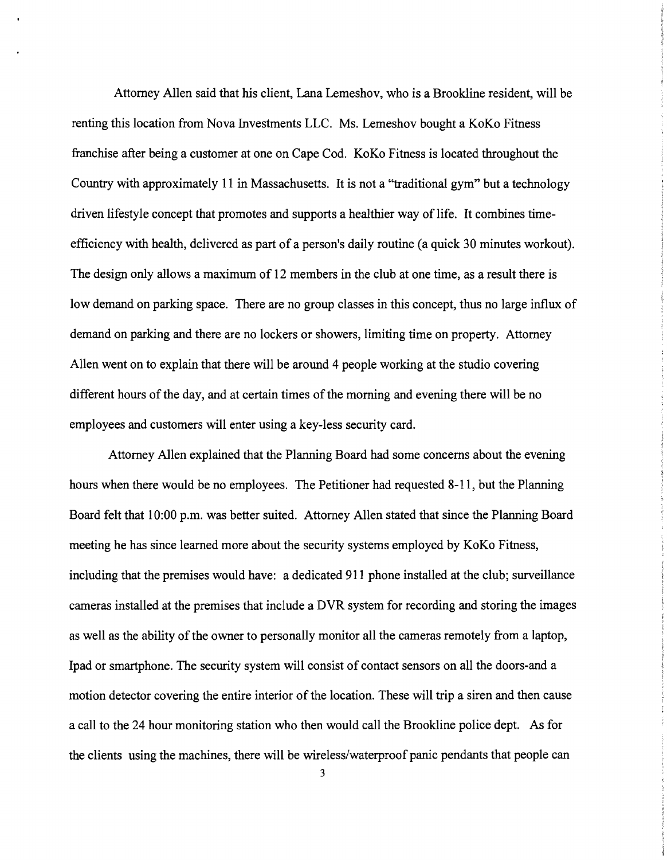Attorney Allen said that his client, Lana Lemeshov, who is a Brookline resident, will be renting this location from Nova Investments LLC. Ms. Lemeshov bought a KoKo Fitness franchise after being a customer at one on Cape Cod. KoKo Fitness is located throughout the Country with approximately 11 in Massachusetts. It is not a "traditional gym" but a technology driven lifestyle concept that promotes and supports a healthier way of life. It combines timeefficiency with health, delivered as part of a person's daily routine (a quick 30 minutes workout). The design only allows a maximum of 12 members in the club at one time, as a result there is low demand on parking space. There are no group classes in this concept, thus no large influx of demand on parking and there are no lockers or showers, limiting time on property. Attorney Allen went on to explain that there will be around 4 people working at the studio covering different hours of the day, and at certain times of the morning and evening there will be no employees and customers will enter using a key-less security card.

Attorney Allen explained that the Planning Board had some concerns about the evening hours when there would be no employees. The Petitioner had requested 8-11, but the Planning Board felt that 10:00 p.m. was better suited. Attorney Allen stated that since the Planning Board meeting he has since learned more about the security systems employed by KoKo Fitness, including that the premises would have: a dedicated 911 phone installed at the club; surveillance cameras installed at the premises that include a DVR system for recording and storing the images as well as the ability of the owner to personally monitor all the cameras remotely from a laptop, Ipad or smartphone. The security system will consist of contact sensors on all the doors-and a motion detector covering the entire interior of the location. These will trip a siren and then cause a call to the 24 hour monitoring station who then would call the Brookline police dept. As for the clients using the machines, there will be wireless/waterproof panic pendants that people can

3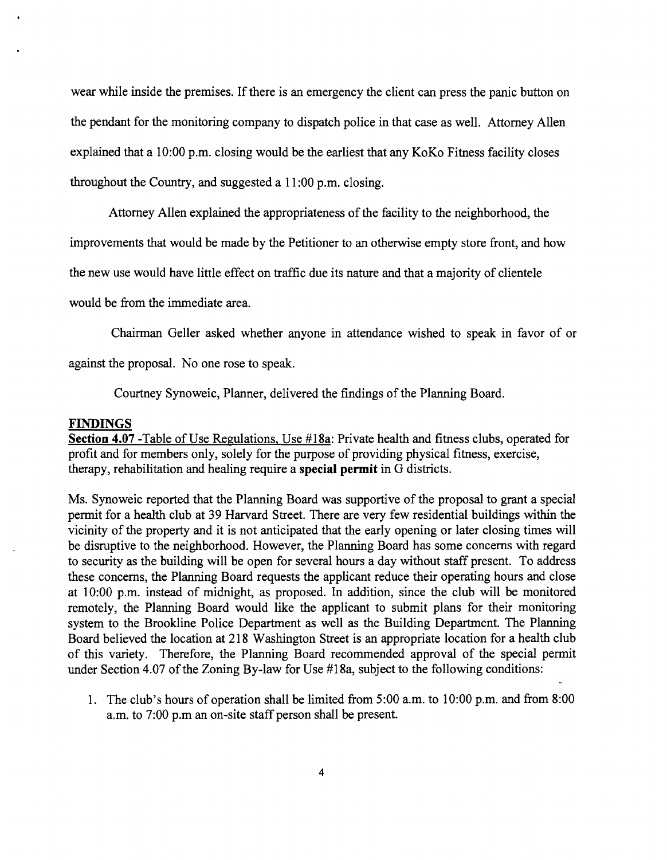wear while inside the premises. If there is an emergency the client can press the panic button on the pendant for the monitoring company to dispatch police in that case as well. Attorney Allen explained that a 10:00 p.m. closing would be the earliest that any KoKo Fitness facility closes throughout the Country, and suggested a 11 :00 p.m. closing.

Attorney Allen explained the appropriateness of the facility to the neighborhood, the

improvements that would be made by the Petitioner to an otherwise empty store front, and how

the new use would have little effect on traffic due its nature and that a majority of clientele

would be from the immediate area.

Chairman Geller asked whether anyone in attendance wished to speak in favor of or

against the proposal. No one rose to speak.

Courtney Synoweic, Planner, delivered the findings of the Planning Board.

## **FINDINGS**

**Section 4.07** -Table of Use Regulations, Use #18a: Private health and fitness clubs, operated for profit and for members only, solely for the purpose of providing physical fitness, exercise, therapy, rehabilitation and healing require a **special permit** in G districts.

Ms. Synoweic reported that the Planning Board was supportive of the proposal to grant a special permit for a health club at 39 Harvard Street. There are very few residential buildings within the vicinity of the property and it is not anticipated that the early opening or later closing times will be disruptive to the neighborhood. However, the Planning Board has some concerns with regard to security as the building will be open for several hours a day without staff present. To address these concerns, the Planning Board requests the applicant reduce their operating hours and close at 10:00 p.m. instead of midnight, as proposed. In addition, since the club will be monitored remotely, the Planning Board would like the applicant to submit plans for their monitoring system to the Brookline Police Department as well as the Building Department. The Planning Board believed the location at 218 Washington Street is an appropriate location for a health club of this variety. Therefore, the Planning Board recommended approval of the special pennit under Section 4.07 of the Zoning By-law for Use #18a, subject to the following conditions:

1. The club's hours of operation shall be limited from 5:00 a.m. to 10:00 p.m. and from 8:00 a.m. to 7:00 p.m an on-site staff person shall be present.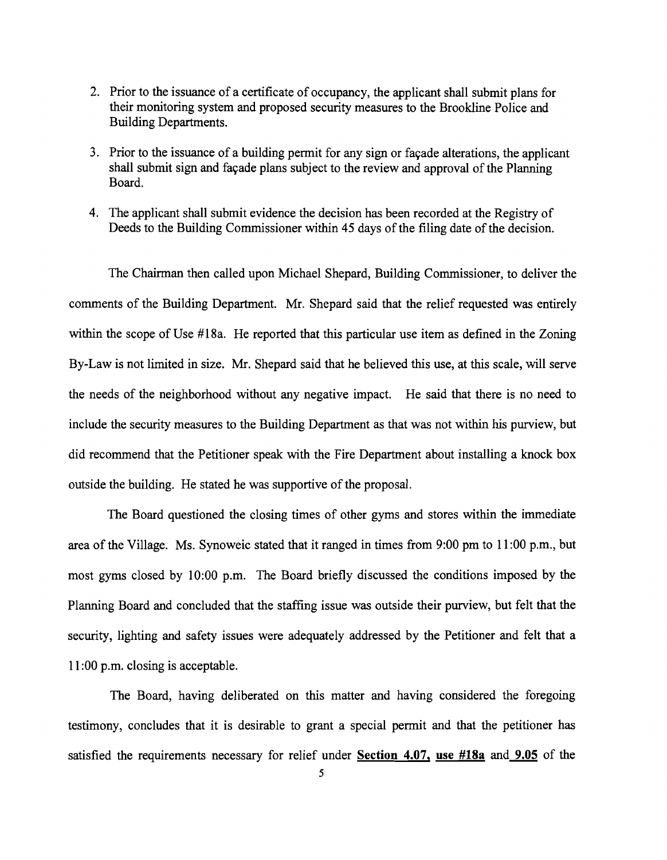- 2. Prior to the issuance of a certificate of occupancy, the applicant shall submit plans for their monitoring system and proposed security measures to the Brookline Police and Building Departments.
- 3. Prior to the issuance of a building permit for any sign or facade alterations, the applicant shall submit sign and facade plans subject to the review and approval of the Planning Board.
- 4. The applicant shall submit evidence the decision has been recorded at the Registry of Deeds to the Building Commissioner within 45 days of the filing date of the decision.

The Chairman then called upon Michael Shepard, Building Commissioner, to deliver the comments of the Building Department. Mr. Shepard said that the relief requested was entirely within the scope of Use #18a. He reported that this particular use item as defined in the Zoning By-Law is not limited in size. Mr. Shepard said that he believed this use, at this scale, will serve the needs of the neighborhood without any negative impact. He said that there is no need to include the security measures to the Building Department as that was not within his purview, but did recommend that the Petitioner speak with the Fire Department about installing a knock box outside the building. He stated he was supportive of the proposal.

The Board questioned the closing times of other gyms and stores within the immediate area of the Village. Ms. Synoweic stated that it ranged in times from 9:00 pm to **11** :00 p.m., but most gyms closed by 10:00 p.m. The Board briefly discussed the conditions imposed by the Planning Board and concluded that the staffing issue was outside their purview, but felt that the security, lighting and safety issues were adequately addressed by the Petitioner and felt that a **11** :00 p.m. closing is acceptable.

The Board, having deliberated on this matter and having considered the foregoing testimony, concludes that it is desirable to grant a special permit and that the petitioner has satisfied the requirements necessary for relief under **Section 4.07, use #18a** and **9.05** of the